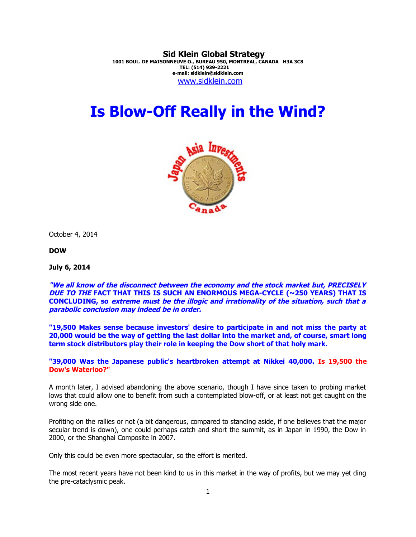**Sid Klein Global Strategy 1001 BOUL. DE MAISONNEUVE O., BUREAU 950, MONTREAL, CANADA H3A 3C8 TEL: (514) 939-2221 e-mail: sidklein@sidklein.com** [www.sidklein.com](http://www.sidklein.com/)

# **Is Blow-Off Really in the Wind?**



October 4, 2014

**DOW**

**July 6, 2014**

**"We all know of the disconnect between the economy and the stock market but, PRECISELY DUE TO THE FACT THAT THIS IS SUCH AN ENORMOUS MEGA-CYCLE (~250 YEARS) THAT IS CONCLUDING, so extreme must be the illogic and irrationality of the situation, such that a parabolic conclusion may indeed be in order.**

**"19,500 Makes sense because investors' desire to participate in and not miss the party at 20,000 would be the way of getting the last dollar into the market and, of course, smart long term stock distributors play their role in keeping the Dow short of that holy mark.** 

**"39,000 Was the Japanese public's heartbroken attempt at Nikkei 40,000. Is 19,500 the Dow's Waterloo?"** 

A month later, I advised abandoning the above scenario, though I have since taken to probing market lows that could allow one to benefit from such a contemplated blow-off, or at least not get caught on the wrong side one.

Profiting on the rallies or not (a bit dangerous, compared to standing aside, if one believes that the major secular trend is down), one could perhaps catch and short the summit, as in Japan in 1990, the Dow in 2000, or the Shanghai Composite in 2007.

Only this could be even more spectacular, so the effort is merited.

The most recent years have not been kind to us in this market in the way of profits, but we may yet ding the pre-cataclysmic peak.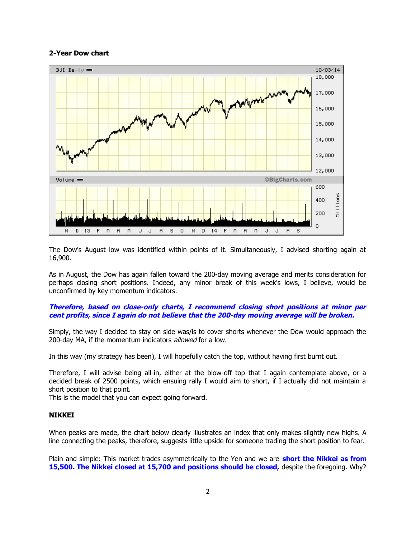## **2-Year Dow chart**



The Dow's August low was identified within points of it. Simultaneously, I advised shorting again at 16,900.

As in August, the Dow has again fallen toward the 200-day moving average and merits consideration for perhaps closing short positions. Indeed, any minor break of this week's lows, I believe, would be unconfirmed by key momentum indicators.

## **Therefore, based on close-only charts, I recommend closing short positions at minor per cent profits, since I again do not believe that the 200-day moving average will be broken.**

Simply, the way I decided to stay on side was/is to cover shorts whenever the Dow would approach the 200-day MA, if the momentum indicators *allowed* for a low.

In this way (my strategy has been), I will hopefully catch the top, without having first burnt out.

Therefore, I will advise being all-in, either at the blow-off top that I again contemplate above, or a decided break of 2500 points, which ensuing rally I would aim to short, if I actually did not maintain a short position to that point.

This is the model that you can expect going forward.

#### **NIKKEI**

When peaks are made, the chart below clearly illustrates an index that only makes slightly new highs. A line connecting the peaks, therefore, suggests little upside for someone trading the short position to fear.

Plain and simple: This market trades asymmetrically to the Yen and we are **short the Nikkei as from 15,500. The Nikkei closed at 15,700 and positions should be closed,** despite the foregoing. Why?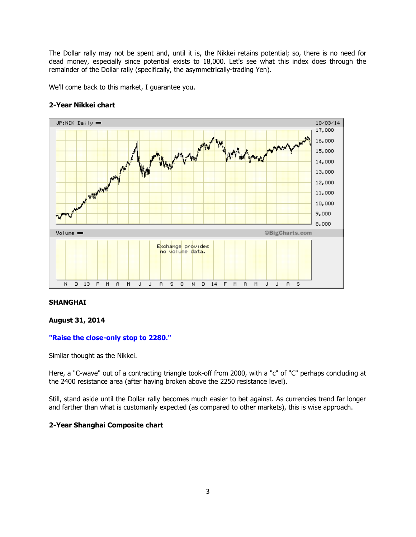The Dollar rally may not be spent and, until it is, the Nikkei retains potential; so, there is no need for dead money, especially since potential exists to 18,000. Let's see what this index does through the remainder of the Dollar rally (specifically, the asymmetrically-trading Yen).

We'll come back to this market, I guarantee you.



# **2-Year Nikkei chart**

# **SHANGHAI**

#### **August 31, 2014**

#### **"Raise the close-only stop to 2280."**

Similar thought as the Nikkei.

Here, a "C-wave" out of a contracting triangle took-off from 2000, with a "c" of "C" perhaps concluding at the 2400 resistance area (after having broken above the 2250 resistance level).

Still, stand aside until the Dollar rally becomes much easier to bet against. As currencies trend far longer and farther than what is customarily expected (as compared to other markets), this is wise approach.

# **2-Year Shanghai Composite chart**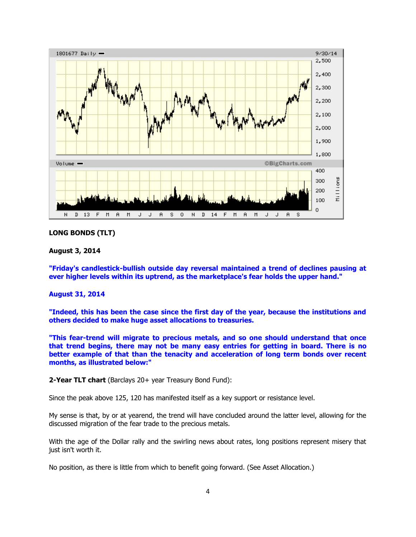

#### **LONG BONDS (TLT)**

#### **August 3, 2014**

**"Friday's candlestick-bullish outside day reversal maintained a trend of declines pausing at ever higher levels within its uptrend, as the marketplace's fear holds the upper hand."**

## **August 31, 2014**

**"Indeed, this has been the case since the first day of the year, because the institutions and others decided to make huge asset allocations to treasuries.** 

**"This fear-trend will migrate to precious metals, and so one should understand that once that trend begins, there may not be many easy entries for getting in board. There is no better example of that than the tenacity and acceleration of long term bonds over recent months, as illustrated below:"**

**2-Year TLT chart** (Barclays 20+ year Treasury Bond Fund):

Since the peak above 125, 120 has manifested itself as a key support or resistance level.

My sense is that, by or at yearend, the trend will have concluded around the latter level, allowing for the discussed migration of the fear trade to the precious metals.

With the age of the Dollar rally and the swirling news about rates, long positions represent misery that just isn't worth it.

No position, as there is little from which to benefit going forward. (See Asset Allocation.)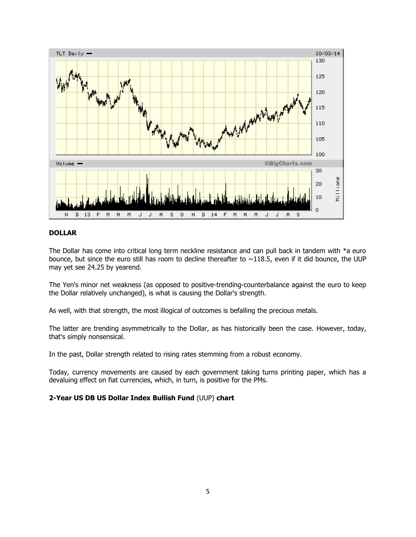

## **DOLLAR**

The Dollar has come into critical long term neckline resistance and can pull back in tandem with \*a euro bounce, but since the euro still has room to decline thereafter to  $\sim$ 118.5, even if it did bounce, the UUP may yet see 24.25 by yearend.

The Yen's minor net weakness (as opposed to positive-trending-counterbalance against the euro to keep the Dollar relatively unchanged), is what is causing the Dollar's strength.

As well, with that strength, the most illogical of outcomes is befalling the precious metals.

The latter are trending asymmetrically to the Dollar, as has historically been the case. However, today, that's simply nonsensical.

In the past, Dollar strength related to rising rates stemming from a robust economy.

Today, currency movements are caused by each government taking turns printing paper, which has a devaluing effect on fiat currencies, which, in turn, is positive for the PMs.

#### **2-Year US DB US Dollar Index Bullish Fund** (UUP) **chart**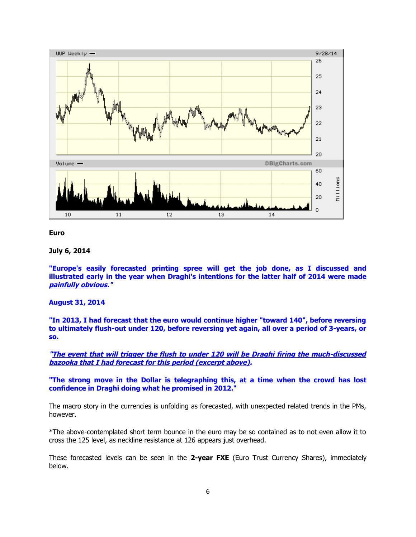



#### **July 6, 2014**

**"Europe's easily forecasted printing spree will get the job done, as I discussed and illustrated early in the year when Draghi's intentions for the latter half of 2014 were made painfully obvious."**

#### **August 31, 2014**

**"In 2013, I had forecast that the euro would continue higher "toward 140", before reversing to ultimately flush-out under 120, before reversing yet again, all over a period of 3-years, or so.** 

**"The event that will trigger the flush to under 120 will be Draghi firing the much-discussed bazooka that I had forecast for this period (excerpt above).**

**"The strong move in the Dollar is telegraphing this, at a time when the crowd has lost confidence in Draghi doing what he promised in 2012."** 

The macro story in the currencies is unfolding as forecasted, with unexpected related trends in the PMs, however.

\*The above-contemplated short term bounce in the euro may be so contained as to not even allow it to cross the 125 level, as neckline resistance at 126 appears just overhead.

These forecasted levels can be seen in the **2-year FXE** (Euro Trust Currency Shares), immediately below.